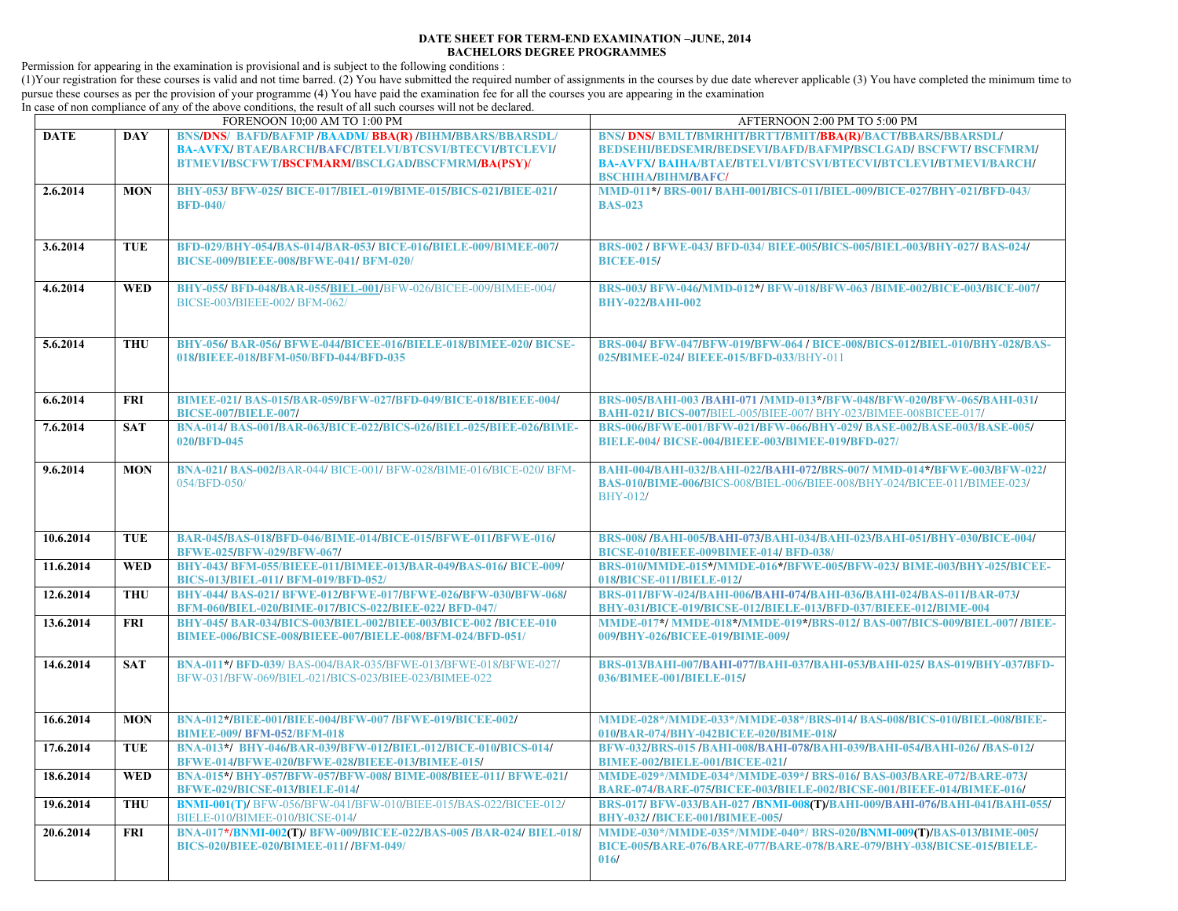## **DATE SHEET FOR TERM-END EXAMINATION –JUNE, 2014 BACHELORS DEGREE PROGRAMMES**

Permission for appearing in the examination is provisional and is subject to the following conditions :

(1)Your registration for these courses is valid and not time barred. (2) You have submitted the required number of assignments in the courses by due date wherever applicable (3) You have completed the minimum time to pursue these courses as per the provision of your programme (4) You have paid the examination fee for all the courses you are appearing in the examination

In case of non compliance of any of the above conditions, the result of all such courses will not be declared.

| FORENOON 10;00 AM TO 1:00 PM |            |                                                                                                                                                                            | AFTERNOON 2:00 PM TO 5:00 PM                                                                                                                                                                                             |
|------------------------------|------------|----------------------------------------------------------------------------------------------------------------------------------------------------------------------------|--------------------------------------------------------------------------------------------------------------------------------------------------------------------------------------------------------------------------|
| <b>DATE</b>                  | <b>DAY</b> | <b>BNS/DNS/ BAFD/BAFMP /BAADM/ BBA(R) /BIHM/BBARS/BBARSDL/</b><br>BA-AVFX/BTAE/BARCH/BAFC/BTELVI/BTCSVI/BTECVI/BTCLEVI/<br>BTMEVI/BSCFWT/BSCFMARM/BSCLGAD/BSCFMRM/BA(PSY)/ | BNS/ DNS/ BMLT/BMRHIT/BRTT/BMIT/BBA(R)/BACT/BBARS/BBARSDL/<br>BEDSEHI/BEDSEMR/BEDSEVI/BAFD/BAFMP/BSCLGAD/ BSCFWT/ BSCFMRM/<br>BA-AVFX/BAIHA/BTAE/BTELVI/BTCSVI/BTECVI/BTCLEVI/BTMEVI/BARCH/<br><b>BSCHIHA/BIHM/BAFC/</b> |
| 2.6.2014                     | <b>MON</b> | BHY-053/ BFW-025/ BICE-017/BIEL-019/BIME-015/BICS-021/BIEE-021/<br><b>BFD-040/</b>                                                                                         | MMD-011*/BRS-001/BAHI-001/BICS-011/BIEL-009/BICE-027/BHY-021/BFD-043/<br><b>BAS-023</b>                                                                                                                                  |
| 3.6.2014                     | <b>TUE</b> | BFD-029/BHY-054/BAS-014/BAR-053/ BICE-016/BIELE-009/BIMEE-007/<br><b>BICSE-009/BIEEE-008/BFWE-041/ BFM-020/</b>                                                            | BRS-002 / BFWE-043/ BFD-034/ BIEE-005/BICS-005/BIEL-003/BHY-027/ BAS-024/<br><b>BICEE-015/</b>                                                                                                                           |
| 4.6.2014                     | <b>WED</b> | BHY-055/ BFD-048/BAR-055/BIEL-001/BFW-026/BICEE-009/BIMEE-004/<br>BICSE-003/BIEEE-002/ BFM-062/                                                                            | BRS-003/ BFW-046/MMD-012*/ BFW-018/BFW-063 /BIME-002/BICE-003/BICE-007/<br><b>BHY-022/BAHI-002</b>                                                                                                                       |
| 5.6.2014                     | <b>THU</b> | BHY-056/BAR-056/BFWE-044/BICEE-016/BIELE-018/BIMEE-020/BICSE-<br>018/BIEEE-018/BFM-050/BFD-044/BFD-035                                                                     | BRS-004/ BFW-047/BFW-019/BFW-064 / BICE-008/BICS-012/BIEL-010/BHY-028/BAS-<br>025/BIMEE-024/ BIEEE-015/BFD-033/BHY-011                                                                                                   |
| 6.6.2014                     | <b>FRI</b> | BIMEE-021/BAS-015/BAR-059/BFW-027/BFD-049/BICE-018/BIEEE-004/<br><b>BICSE-007/BIELE-007/</b>                                                                               | BRS-005/BAHI-003 /BAHI-071 /MMD-013*/BFW-048/BFW-020/BFW-065/BAHI-031/<br>BAHI-021/ BICS-007/BIEL-005/BIEE-007/ BHY-023/BIMEE-008BICEE-017/                                                                              |
| 7.6.2014                     | <b>SAT</b> | BNA-014/BAS-001/BAR-063/BICE-022/BICS-026/BIEL-025/BIEE-026/BIME-<br>020/BFD-045                                                                                           | BRS-006/BFWE-001/BFW-021/BFW-066/BHY-029/BASE-002/BASE-003/BASE-005/<br>BIELE-004/ BICSE-004/BIEEE-003/BIMEE-019/BFD-027/                                                                                                |
| 9.6.2014                     | <b>MON</b> | BNA-021/BAS-002/BAR-044/BICE-001/BFW-028/BIME-016/BICE-020/BFM-<br>054/BFD-050/                                                                                            | BAHI-004/BAHI-032/BAHI-022/BAHI-072/BRS-007/ MMD-014*/BFWE-003/BFW-022/<br>BAS-010/BIME-006/BICS-008/BIEL-006/BIEE-008/BHY-024/BICEE-011/BIMEE-023/<br>BHY-012/                                                          |
| 10.6.2014                    | <b>TUE</b> | BAR-045/BAS-018/BFD-046/BIME-014/BICE-015/BFWE-011/BFWE-016/<br>BFWE-025/BFW-029/BFW-067/                                                                                  | BRS-008/ /BAHI-005/BAHI-073/BAHI-034/BAHI-023/BAHI-051/BHY-030/BICE-004/<br><b>BICSE-010/BIEEE-009BIMEE-014/ BFD-038/</b>                                                                                                |
| 11.6.2014                    | <b>WED</b> | BHY-043/ BFM-055/BIEEE-011/BIMEE-013/BAR-049/BAS-016/ BICE-009/<br>BICS-013/BIEL-011/ BFM-019/BFD-052/                                                                     | BRS-010/MMDE-015*/MMDE-016*/BFWE-005/BFW-023/ BIME-003/BHY-025/BICEE-<br>018/BICSE-011/BIELE-012/                                                                                                                        |
| 12.6.2014                    | <b>THU</b> | BHY-044/BAS-021/BFWE-012/BFWE-017/BFWE-026/BFW-030/BFW-068/<br>BFM-060/BIEL-020/BIME-017/BICS-022/BIEE-022/ BFD-047/                                                       | BRS-011/BFW-024/BAHI-006/BAHI-074/BAHI-036/BAHI-024/BAS-011/BAR-073/<br>BHY-031/BICE-019/BICSE-012/BIELE-013/BFD-037/BIEEE-012/BIME-004                                                                                  |
| 13.6.2014                    | <b>FRI</b> | BHY-045/BAR-034/BICS-003/BIEL-002/BIEE-003/BICE-002 /BICEE-010<br>BIMEE-006/BICSE-008/BIEEE-007/BIELE-008/BFM-024/BFD-051/                                                 | MMDE-017*/MMDE-018*/MMDE-019*/BRS-012/BAS-007/BICS-009/BIEL-007/ /BIEE-<br>009/BHY-026/BICEE-019/BIME-009/                                                                                                               |
| 14.6.2014                    | <b>SAT</b> | BNA-011*/BFD-039/BAS-004/BAR-035/BFWE-013/BFWE-018/BFWE-027/<br>BFW-031/BFW-069/BIEL-021/BICS-023/BIEE-023/BIMEE-022                                                       | BRS-013/BAHI-007/BAHI-077/BAHI-037/BAHI-053/BAHI-025/ BAS-019/BHY-037/BFD-<br>036/BIMEE-001/BIELE-015/                                                                                                                   |
| 16.6.2014                    | <b>MON</b> | BNA-012*/BIEE-001/BIEE-004/BFW-007/BFWE-019/BICEE-002/<br><b>BIMEE-009/ BFM-052/BFM-018</b>                                                                                | MMDE-028*/MMDE-033*/MMDE-038*/BRS-014/ BAS-008/BICS-010/BIEL-008/BIEE-<br>010/BAR-074/BHY-042BICEE-020/BIME-018/                                                                                                         |
| 17.6.2014                    | <b>TUE</b> | BNA-013*/ BHY-046/BAR-039/BFW-012/BIEL-012/BICE-010/BICS-014/<br>BFWE-014/BFWE-020/BFWE-028/BIEEE-013/BIMEE-015/                                                           | BFW-032/BRS-015/BAHI-008/BAHI-078/BAHI-039/BAHI-054/BAHI-026/ /BAS-012/<br>BIMEE-002/BIELE-001/BICEE-021/                                                                                                                |
| 18.6.2014                    | <b>WED</b> | BNA-015*/BHY-057/BFW-057/BFW-008/BIME-008/BIEE-011/BFWE-021/<br>BFWE-029/BICSE-013/BIELE-014/                                                                              | MMDE-029*/MMDE-034*/MMDE-039*/BRS-016/BAS-003/BARE-072/BARE-073/<br>BARE-074/BARE-075/BICEE-003/BIELE-002/BICSE-001/BIEEE-014/BIMEE-016/                                                                                 |
| 19.6.2014                    | <b>THU</b> | BNMI-001(T)/BFW-056/BFW-041/BFW-010/BIEE-015/BAS-022/BICEE-012/<br>BIELE-010/BIMEE-010/BICSE-014/                                                                          | BRS-017/ BFW-033/BAH-027 /BNMI-008(T)/BAHI-009/BAHI-076/BAHI-041/BAHI-055/<br><b>BHY-032//BICEE-001/BIMEE-005/</b>                                                                                                       |
| 20.6.2014                    | <b>FRI</b> | BNA-017*/BNMI-002(T)/ BFW-009/BICEE-022/BAS-005 /BAR-024/ BIEL-018/<br><b>BICS-020/BIEE-020/BIMEE-011//BFM-049/</b>                                                        | MMDE-030*/MMDE-035*/MMDE-040*/BRS-020/BNMI-009(T)/BAS-013/BIME-005/<br>BICE-005/BARE-076/BARE-077/BARE-078/BARE-079/BHY-038/BICSE-015/BIELE-<br>016/                                                                     |